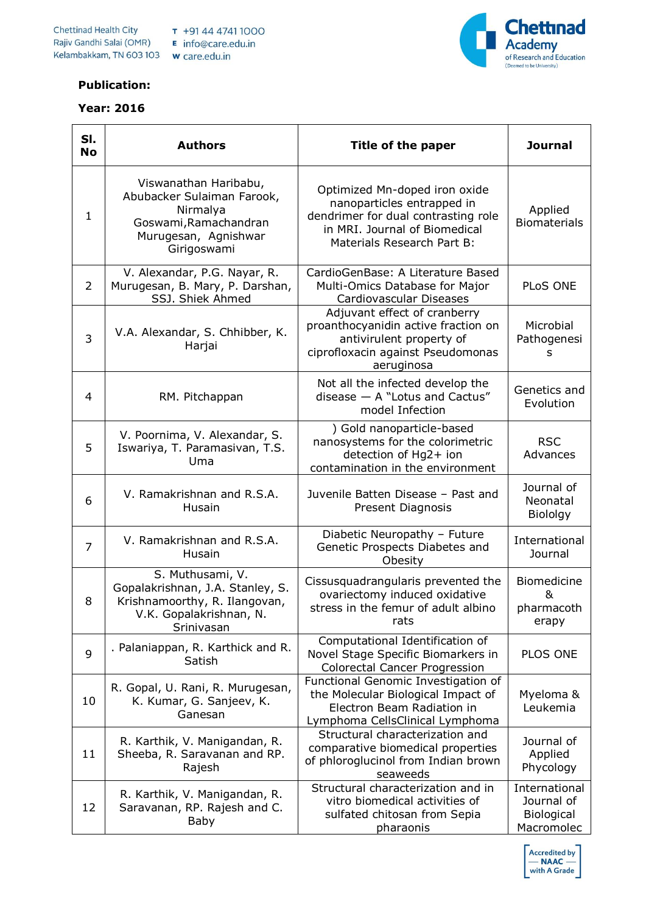

## **Publication:**

## **Year: 2016**



| SI.<br><b>No</b> | <b>Authors</b>                                                                                                                  | Title of the paper                                                                                                                                                | <b>Journal</b>                                          |
|------------------|---------------------------------------------------------------------------------------------------------------------------------|-------------------------------------------------------------------------------------------------------------------------------------------------------------------|---------------------------------------------------------|
| 1                | Viswanathan Haribabu,<br>Abubacker Sulaiman Farook,<br>Nirmalya<br>Goswami, Ramachandran<br>Murugesan, Agnishwar<br>Girigoswami | Optimized Mn-doped iron oxide<br>nanoparticles entrapped in<br>dendrimer for dual contrasting role<br>in MRI. Journal of Biomedical<br>Materials Research Part B: | Applied<br><b>Biomaterials</b>                          |
| $\overline{2}$   | V. Alexandar, P.G. Nayar, R.<br>Murugesan, B. Mary, P. Darshan,<br>SSJ. Shiek Ahmed                                             | CardioGenBase: A Literature Based<br>Multi-Omics Database for Major<br>Cardiovascular Diseases                                                                    | PLoS ONE                                                |
| 3                | V.A. Alexandar, S. Chhibber, K.<br>Harjai                                                                                       | Adjuvant effect of cranberry<br>proanthocyanidin active fraction on<br>antivirulent property of<br>ciprofloxacin against Pseudomonas<br>aeruginosa                | Microbial<br>Pathogenesi<br>s                           |
| 4                | RM. Pitchappan                                                                                                                  | Not all the infected develop the<br>disease $-$ A "Lotus and Cactus"<br>model Infection                                                                           | Genetics and<br>Evolution                               |
| 5                | V. Poornima, V. Alexandar, S.<br>Iswariya, T. Paramasivan, T.S.<br>Uma                                                          | ) Gold nanoparticle-based<br>nanosystems for the colorimetric<br>detection of Hg2+ ion<br>contamination in the environment                                        | <b>RSC</b><br>Advances                                  |
| 6                | V. Ramakrishnan and R.S.A.<br>Husain                                                                                            | Juvenile Batten Disease - Past and<br>Present Diagnosis                                                                                                           | Journal of<br>Neonatal<br>Biololgy                      |
| $\overline{7}$   | V. Ramakrishnan and R.S.A.<br>Husain                                                                                            | Diabetic Neuropathy - Future<br>Genetic Prospects Diabetes and<br>Obesity                                                                                         | International<br>Journal                                |
| 8                | S. Muthusami, V.<br>Gopalakrishnan, J.A. Stanley, S.<br>Krishnamoorthy, R. Ilangovan,<br>V.K. Gopalakrishnan, N.<br>Srinivasan  | Cissusquadrangularis prevented the<br>ovariectomy induced oxidative<br>stress in the femur of adult albino<br>rats                                                | Biomedicine<br>&<br>pharmacoth<br>erapy                 |
| 9                | . Palaniappan, R. Karthick and R.<br>Satish                                                                                     | Computational Identification of<br>Novel Stage Specific Biomarkers in<br><b>Colorectal Cancer Progression</b>                                                     | PLOS ONE                                                |
| 10               | R. Gopal, U. Rani, R. Murugesan,<br>K. Kumar, G. Sanjeev, K.<br>Ganesan                                                         | Functional Genomic Investigation of<br>the Molecular Biological Impact of<br>Electron Beam Radiation in<br>Lymphoma CellsClinical Lymphoma                        | Myeloma &<br>Leukemia                                   |
| 11               | R. Karthik, V. Manigandan, R.<br>Sheeba, R. Saravanan and RP.<br>Rajesh                                                         | Structural characterization and<br>comparative biomedical properties<br>of phloroglucinol from Indian brown<br>seaweeds                                           | Journal of<br>Applied<br>Phycology                      |
| 12               | R. Karthik, V. Manigandan, R.<br>Saravanan, RP. Rajesh and C.<br>Baby                                                           | Structural characterization and in<br>vitro biomedical activities of<br>sulfated chitosan from Sepia<br>pharaonis                                                 | International<br>Journal of<br>Biological<br>Macromolec |

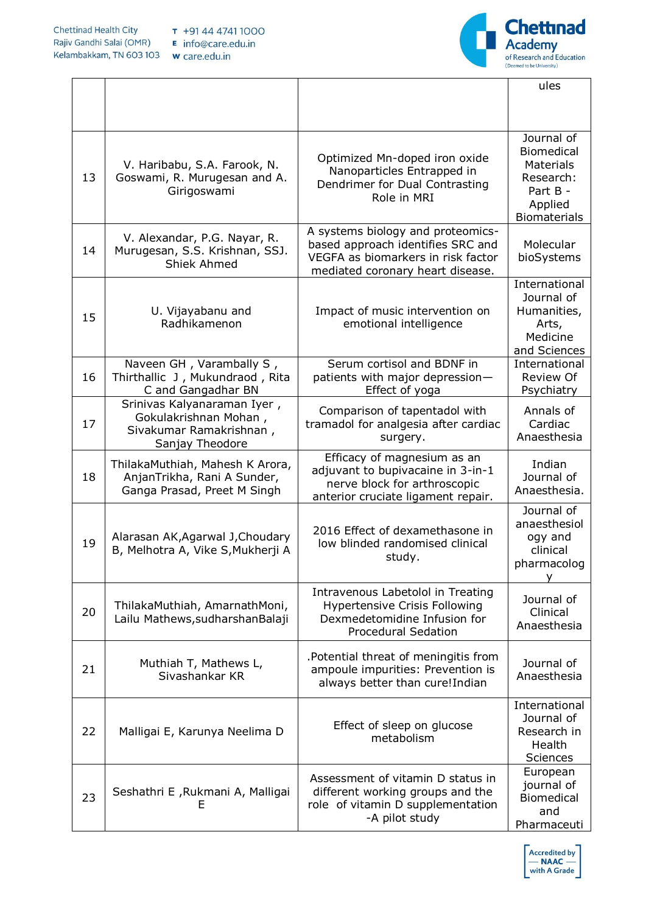

|    |                                                                                                    |                                                                                                                                                  | ules                                                                                    |
|----|----------------------------------------------------------------------------------------------------|--------------------------------------------------------------------------------------------------------------------------------------------------|-----------------------------------------------------------------------------------------|
|    |                                                                                                    |                                                                                                                                                  |                                                                                         |
| 13 | V. Haribabu, S.A. Farook, N.<br>Goswami, R. Murugesan and A.<br>Girigoswami                        | Optimized Mn-doped iron oxide<br>Nanoparticles Entrapped in<br>Dendrimer for Dual Contrasting<br>Role in MRI                                     | Journal of<br><b>Biomedical</b><br><b>Materials</b><br>Research:<br>Part B -<br>Applied |
| 14 | V. Alexandar, P.G. Nayar, R.<br>Murugesan, S.S. Krishnan, SSJ.<br><b>Shiek Ahmed</b>               | A systems biology and proteomics-<br>based approach identifies SRC and<br>VEGFA as biomarkers in risk factor<br>mediated coronary heart disease. | <b>Biomaterials</b><br>Molecular<br>bioSystems                                          |
| 15 | U. Vijayabanu and<br>Radhikamenon                                                                  | Impact of music intervention on<br>emotional intelligence                                                                                        | International<br>Journal of<br>Humanities,<br>Arts,<br>Medicine<br>and Sciences         |
| 16 | Naveen GH, Varambally S,<br>Thirthallic J, Mukundraod, Rita<br>C and Gangadhar BN                  | Serum cortisol and BDNF in<br>patients with major depression-<br>Effect of yoga                                                                  | International<br><b>Review Of</b><br>Psychiatry                                         |
| 17 | Srinivas Kalyanaraman Iyer,<br>Gokulakrishnan Mohan,<br>Sivakumar Ramakrishnan,<br>Sanjay Theodore | Comparison of tapentadol with<br>tramadol for analgesia after cardiac<br>surgery.                                                                | Annals of<br>Cardiac<br>Anaesthesia                                                     |
| 18 | ThilakaMuthiah, Mahesh K Arora,<br>AnjanTrikha, Rani A Sunder,<br>Ganga Prasad, Preet M Singh      | Efficacy of magnesium as an<br>adjuvant to bupivacaine in 3-in-1<br>nerve block for arthroscopic<br>anterior cruciate ligament repair.           | Indian<br>Journal of<br>Anaesthesia.                                                    |
| 19 | Alarasan AK, Agarwal J, Choudary<br>B, Melhotra A, Vike S, Mukherji A                              | 2016 Effect of dexamethasone in<br>low blinded randomised clinical<br>study.                                                                     | Journal of<br>anaesthesiol<br>ogy and<br>clinical<br>pharmacolog                        |
| 20 | ThilakaMuthiah, AmarnathMoni,<br>Lailu Mathews, sudharshan Balaji                                  | Intravenous Labetolol in Treating<br><b>Hypertensive Crisis Following</b><br>Dexmedetomidine Infusion for<br><b>Procedural Sedation</b>          | Journal of<br>Clinical<br>Anaesthesia                                                   |
| 21 | Muthiah T, Mathews L,<br>Sivashankar KR                                                            | .Potential threat of meningitis from<br>ampoule impurities: Prevention is<br>always better than cure!Indian                                      | Journal of<br>Anaesthesia                                                               |
| 22 | Malligai E, Karunya Neelima D                                                                      | Effect of sleep on glucose<br>metabolism                                                                                                         | International<br>Journal of<br>Research in<br>Health<br>Sciences                        |
| 23 | Seshathri E, Rukmani A, Malligai<br>Е                                                              | Assessment of vitamin D status in<br>different working groups and the<br>role of vitamin D supplementation<br>-A pilot study                     | European<br>journal of<br><b>Biomedical</b><br>and<br>Pharmaceuti                       |

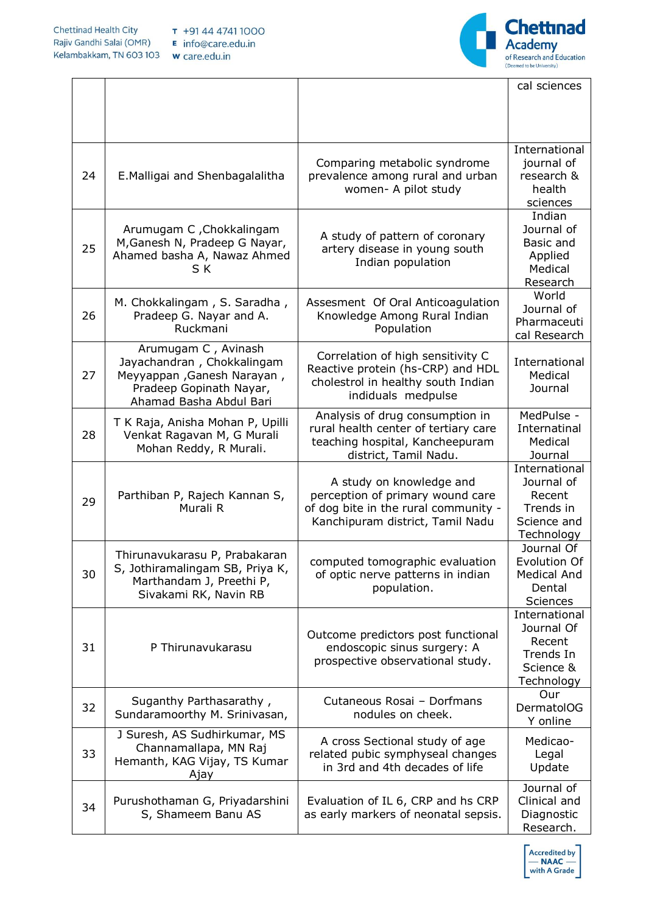

|    |                                                                                                                                       |                                                                                                                                          | cal sciences                                                                    |
|----|---------------------------------------------------------------------------------------------------------------------------------------|------------------------------------------------------------------------------------------------------------------------------------------|---------------------------------------------------------------------------------|
|    |                                                                                                                                       |                                                                                                                                          |                                                                                 |
| 24 | E. Malligai and Shenbagalalitha                                                                                                       | Comparing metabolic syndrome<br>prevalence among rural and urban<br>women- A pilot study                                                 | International<br>journal of<br>research &<br>health<br>sciences                 |
| 25 | Arumugam C, Chokkalingam<br>M, Ganesh N, Pradeep G Nayar,<br>Ahamed basha A, Nawaz Ahmed<br>S K                                       | A study of pattern of coronary<br>artery disease in young south<br>Indian population                                                     | Indian<br>Journal of<br>Basic and<br>Applied<br>Medical<br>Research             |
| 26 | M. Chokkalingam, S. Saradha,<br>Pradeep G. Nayar and A.<br>Ruckmani                                                                   | Assesment Of Oral Anticoagulation<br>Knowledge Among Rural Indian<br>Population                                                          | World<br>Journal of<br>Pharmaceuti<br>cal Research                              |
| 27 | Arumugam C, Avinash<br>Jayachandran, Chokkalingam<br>Meyyappan, Ganesh Narayan,<br>Pradeep Gopinath Nayar,<br>Ahamad Basha Abdul Bari | Correlation of high sensitivity C<br>Reactive protein (hs-CRP) and HDL<br>cholestrol in healthy south Indian<br>indiduals medpulse       | International<br>Medical<br>Journal                                             |
| 28 | T K Raja, Anisha Mohan P, Upilli<br>Venkat Ragavan M, G Murali<br>Mohan Reddy, R Murali.                                              | Analysis of drug consumption in<br>rural health center of tertiary care<br>teaching hospital, Kancheepuram<br>district, Tamil Nadu.      | MedPulse -<br>Internatinal<br>Medical<br>Journal                                |
| 29 | Parthiban P, Rajech Kannan S,<br>Murali R                                                                                             | A study on knowledge and<br>perception of primary wound care<br>of dog bite in the rural community -<br>Kanchipuram district, Tamil Nadu | International<br>Journal of<br>Recent<br>Trends in<br>Science and<br>Technology |
| 30 | Thirunavukarasu P, Prabakaran<br>S, Jothiramalingam SB, Priya K,<br>Marthandam J, Preethi P,<br>Sivakami RK, Navin RB                 | computed tomographic evaluation<br>of optic nerve patterns in indian<br>population.                                                      | Journal Of<br>Evolution Of<br><b>Medical And</b><br>Dental<br><b>Sciences</b>   |
| 31 | P Thirunavukarasu                                                                                                                     | Outcome predictors post functional<br>endoscopic sinus surgery: A<br>prospective observational study.                                    | International<br>Journal Of<br>Recent<br>Trends In<br>Science &<br>Technology   |
| 32 | Suganthy Parthasarathy,<br>Sundaramoorthy M. Srinivasan,                                                                              | Cutaneous Rosai - Dorfmans<br>nodules on cheek.                                                                                          | Our<br>DermatolOG<br>Y online                                                   |
| 33 | J Suresh, AS Sudhirkumar, MS<br>Channamallapa, MN Raj<br>Hemanth, KAG Vijay, TS Kumar<br>Ajay                                         | A cross Sectional study of age<br>related pubic symphyseal changes<br>in 3rd and 4th decades of life                                     | Medicao-<br>Legal<br>Update                                                     |
| 34 | Purushothaman G, Priyadarshini<br>S, Shameem Banu AS                                                                                  | Evaluation of IL 6, CRP and hs CRP<br>as early markers of neonatal sepsis.                                                               | Journal of<br>Clinical and<br>Diagnostic<br>Research.                           |

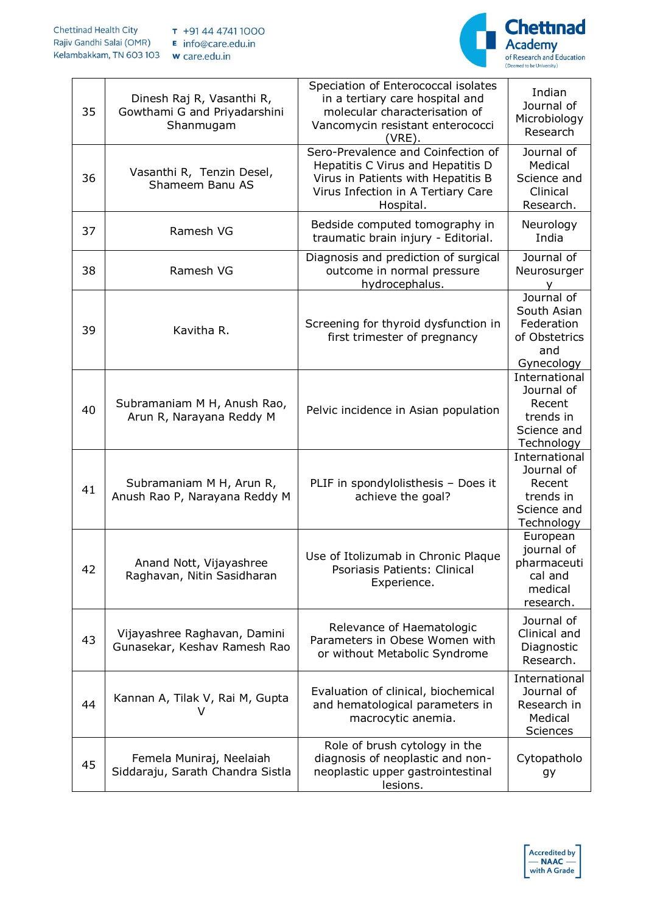

| 35 | Dinesh Raj R, Vasanthi R,<br>Gowthami G and Priyadarshini<br>Shanmugam | Speciation of Enterococcal isolates<br>in a tertiary care hospital and<br>molecular characterisation of<br>Vancomycin resistant enterococci<br>(VRE).            | Indian<br>Journal of<br>Microbiology<br>Research                                |
|----|------------------------------------------------------------------------|------------------------------------------------------------------------------------------------------------------------------------------------------------------|---------------------------------------------------------------------------------|
| 36 | Vasanthi R, Tenzin Desel,<br>Shameem Banu AS                           | Sero-Prevalence and Coinfection of<br>Hepatitis C Virus and Hepatitis D<br>Virus in Patients with Hepatitis B<br>Virus Infection in A Tertiary Care<br>Hospital. | Journal of<br>Medical<br>Science and<br>Clinical<br>Research.                   |
| 37 | Ramesh VG                                                              | Bedside computed tomography in<br>traumatic brain injury - Editorial.                                                                                            | Neurology<br>India                                                              |
| 38 | Ramesh VG                                                              | Diagnosis and prediction of surgical<br>outcome in normal pressure<br>hydrocephalus.                                                                             | Journal of<br>Neurosurger                                                       |
| 39 | Kavitha R.                                                             | Screening for thyroid dysfunction in<br>first trimester of pregnancy                                                                                             | Journal of<br>South Asian<br>Federation<br>of Obstetrics<br>and<br>Gynecology   |
| 40 | Subramaniam M H, Anush Rao,<br>Arun R, Narayana Reddy M                | Pelvic incidence in Asian population                                                                                                                             | International<br>Journal of<br>Recent<br>trends in<br>Science and<br>Technology |
| 41 | Subramaniam M H, Arun R,<br>Anush Rao P, Narayana Reddy M              | PLIF in spondylolisthesis - Does it<br>achieve the goal?                                                                                                         | International<br>Journal of<br>Recent<br>trends in<br>Science and<br>Technology |
| 42 | Anand Nott, Vijayashree<br>Raghavan, Nitin Sasidharan                  | Use of Itolizumab in Chronic Plaque<br>Psoriasis Patients: Clinical<br>Experience.                                                                               | European<br>journal of<br>pharmaceuti<br>cal and<br>medical<br>research.        |
| 43 | Vijayashree Raghavan, Damini<br>Gunasekar, Keshav Ramesh Rao           | Relevance of Haematologic<br>Parameters in Obese Women with<br>or without Metabolic Syndrome                                                                     | Journal of<br>Clinical and<br>Diagnostic<br>Research.                           |
| 44 | Kannan A, Tilak V, Rai M, Gupta<br>V                                   | Evaluation of clinical, biochemical<br>and hematological parameters in<br>macrocytic anemia.                                                                     | International<br>Journal of<br>Research in<br>Medical<br>Sciences               |
| 45 | Femela Muniraj, Neelaiah<br>Siddaraju, Sarath Chandra Sistla           | Role of brush cytology in the<br>diagnosis of neoplastic and non-<br>neoplastic upper gastrointestinal<br>lesions.                                               | Cytopatholo<br>gу                                                               |

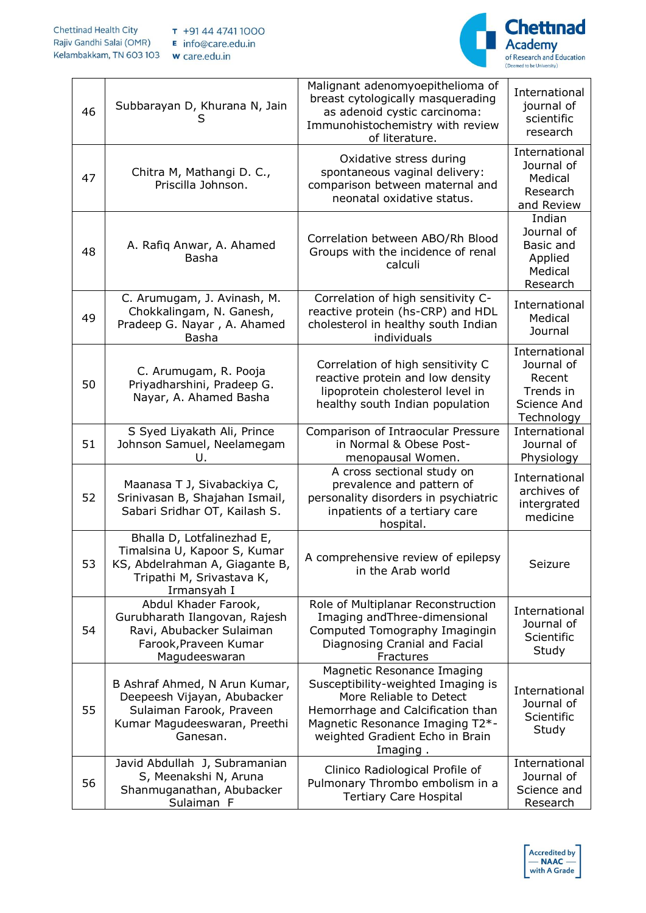

| 46 | Subbarayan D, Khurana N, Jain<br>S                                                                                                       | Malignant adenomyoepithelioma of<br>breast cytologically masquerading<br>as adenoid cystic carcinoma:<br>Immunohistochemistry with review<br>of literature.                                                        | International<br>journal of<br>scientific<br>research                           |
|----|------------------------------------------------------------------------------------------------------------------------------------------|--------------------------------------------------------------------------------------------------------------------------------------------------------------------------------------------------------------------|---------------------------------------------------------------------------------|
| 47 | Chitra M, Mathangi D. C.,<br>Priscilla Johnson.                                                                                          | Oxidative stress during<br>spontaneous vaginal delivery:<br>comparison between maternal and<br>neonatal oxidative status.                                                                                          | International<br>Journal of<br>Medical<br>Research<br>and Review                |
| 48 | A. Rafiq Anwar, A. Ahamed<br>Basha                                                                                                       | Correlation between ABO/Rh Blood<br>Groups with the incidence of renal<br>calculi                                                                                                                                  | Indian<br>Journal of<br>Basic and<br>Applied<br>Medical<br>Research             |
| 49 | C. Arumugam, J. Avinash, M.<br>Chokkalingam, N. Ganesh,<br>Pradeep G. Nayar, A. Ahamed<br>Basha                                          | Correlation of high sensitivity C-<br>reactive protein (hs-CRP) and HDL<br>cholesterol in healthy south Indian<br>individuals                                                                                      | International<br>Medical<br>Journal                                             |
| 50 | C. Arumugam, R. Pooja<br>Priyadharshini, Pradeep G.<br>Nayar, A. Ahamed Basha                                                            | Correlation of high sensitivity C<br>reactive protein and low density<br>lipoprotein cholesterol level in<br>healthy south Indian population                                                                       | International<br>Journal of<br>Recent<br>Trends in<br>Science And<br>Technology |
| 51 | S Syed Liyakath Ali, Prince<br>Johnson Samuel, Neelamegam<br>U.                                                                          | Comparison of Intraocular Pressure<br>in Normal & Obese Post-<br>menopausal Women.                                                                                                                                 | International<br>Journal of<br>Physiology                                       |
| 52 | Maanasa T J, Sivabackiya C,<br>Srinivasan B, Shajahan Ismail,<br>Sabari Sridhar OT, Kailash S.                                           | A cross sectional study on<br>prevalence and pattern of<br>personality disorders in psychiatric<br>inpatients of a tertiary care<br>hospital.                                                                      | International<br>archives of<br>intergrated<br>medicine                         |
| 53 | Bhalla D, Lotfalinezhad E,<br>Timalsina U, Kapoor S, Kumar<br>KS, Abdelrahman A, Giagante B,<br>Tripathi M, Srivastava K,<br>Irmansyah I | A comprehensive review of epilepsy<br>in the Arab world                                                                                                                                                            | Seizure                                                                         |
| 54 | Abdul Khader Farook,<br>Gurubharath Ilangovan, Rajesh<br>Ravi, Abubacker Sulaiman<br>Farook, Praveen Kumar<br>Magudeeswaran              | Role of Multiplanar Reconstruction<br>Imaging and Three-dimensional<br>Computed Tomography Imagingin<br>Diagnosing Cranial and Facial<br>Fractures                                                                 | International<br>Journal of<br>Scientific<br>Study                              |
| 55 | B Ashraf Ahmed, N Arun Kumar,<br>Deepeesh Vijayan, Abubacker<br>Sulaiman Farook, Praveen<br>Kumar Magudeeswaran, Preethi<br>Ganesan.     | Magnetic Resonance Imaging<br>Susceptibility-weighted Imaging is<br>More Reliable to Detect<br>Hemorrhage and Calcification than<br>Magnetic Resonance Imaging T2*-<br>weighted Gradient Echo in Brain<br>Imaging. | International<br>Journal of<br>Scientific<br>Study                              |
| 56 | Javid Abdullah J, Subramanian<br>S, Meenakshi N, Aruna<br>Shanmuganathan, Abubacker<br>Sulaiman F                                        | Clinico Radiological Profile of<br>Pulmonary Thrombo embolism in a<br><b>Tertiary Care Hospital</b>                                                                                                                | International<br>Journal of<br>Science and<br>Research                          |

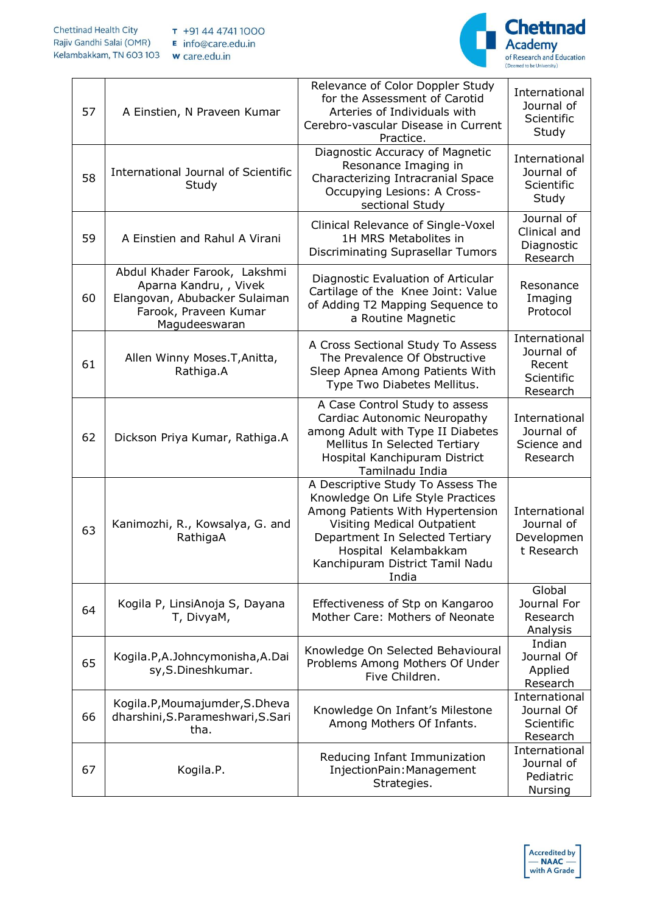

| 57 | A Einstien, N Praveen Kumar                                                                                                       | Relevance of Color Doppler Study<br>for the Assessment of Carotid<br>Arteries of Individuals with<br>Cerebro-vascular Disease in Current<br>Practice.                                                                                            | International<br>Journal of<br>Scientific<br>Study              |
|----|-----------------------------------------------------------------------------------------------------------------------------------|--------------------------------------------------------------------------------------------------------------------------------------------------------------------------------------------------------------------------------------------------|-----------------------------------------------------------------|
| 58 | International Journal of Scientific<br>Study                                                                                      | Diagnostic Accuracy of Magnetic<br>Resonance Imaging in<br>Characterizing Intracranial Space<br>Occupying Lesions: A Cross-<br>sectional Study                                                                                                   | International<br>Journal of<br>Scientific<br>Study              |
| 59 | A Einstien and Rahul A Virani                                                                                                     | Clinical Relevance of Single-Voxel<br>1H MRS Metabolites in<br>Discriminating Suprasellar Tumors                                                                                                                                                 | Journal of<br>Clinical and<br>Diagnostic<br>Research            |
| 60 | Abdul Khader Farook, Lakshmi<br>Aparna Kandru, , Vivek<br>Elangovan, Abubacker Sulaiman<br>Farook, Praveen Kumar<br>Magudeeswaran | Diagnostic Evaluation of Articular<br>Cartilage of the Knee Joint: Value<br>of Adding T2 Mapping Sequence to<br>a Routine Magnetic                                                                                                               | Resonance<br>Imaging<br>Protocol                                |
| 61 | Allen Winny Moses. T, Anitta,<br>Rathiga.A                                                                                        | A Cross Sectional Study To Assess<br>The Prevalence Of Obstructive<br>Sleep Apnea Among Patients With<br>Type Two Diabetes Mellitus.                                                                                                             | International<br>Journal of<br>Recent<br>Scientific<br>Research |
| 62 | Dickson Priya Kumar, Rathiga.A                                                                                                    | A Case Control Study to assess<br>Cardiac Autonomic Neuropathy<br>among Adult with Type II Diabetes<br>Mellitus In Selected Tertiary<br>Hospital Kanchipuram District<br>Tamilnadu India                                                         | International<br>Journal of<br>Science and<br>Research          |
| 63 | Kanimozhi, R., Kowsalya, G. and<br>RathigaA                                                                                       | A Descriptive Study To Assess The<br>Knowledge On Life Style Practices<br>Among Patients With Hypertension<br>Visiting Medical Outpatient<br>Department In Selected Tertiary<br>Hospital Kelambakkam<br>Kanchipuram District Tamil Nadu<br>India | International<br>Journal of<br>Developmen<br>t Research         |
| 64 | Kogila P, LinsiAnoja S, Dayana<br>T, DivyaM,                                                                                      | Effectiveness of Stp on Kangaroo<br>Mother Care: Mothers of Neonate                                                                                                                                                                              | Global<br>Journal For<br>Research<br>Analysis                   |
| 65 | Kogila.P,A.Johncymonisha,A.Dai<br>sy, S.Dineshkumar.                                                                              | Knowledge On Selected Behavioural<br>Problems Among Mothers Of Under<br>Five Children.                                                                                                                                                           | Indian<br>Journal Of<br>Applied<br>Research                     |
| 66 | Kogila.P, Moumajumder, S.Dheva<br>dharshini, S. Parameshwari, S. Sari<br>tha.                                                     | Knowledge On Infant's Milestone<br>Among Mothers Of Infants.                                                                                                                                                                                     | International<br>Journal Of<br>Scientific<br>Research           |
| 67 | Kogila.P.                                                                                                                         | Reducing Infant Immunization<br>InjectionPain: Management<br>Strategies.                                                                                                                                                                         | International<br>Journal of<br>Pediatric<br>Nursing             |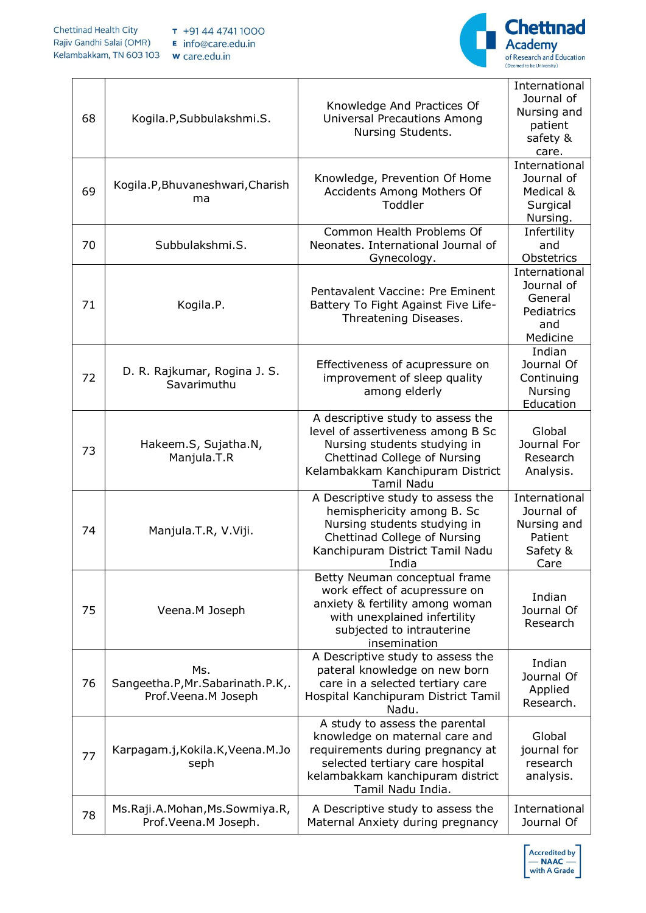

| 68 | Kogila.P,Subbulakshmi.S.                                          | Knowledge And Practices Of<br><b>Universal Precautions Among</b><br>Nursing Students.                                                                                                            | International<br>Journal of<br>Nursing and<br>patient<br>safety &<br>care. |
|----|-------------------------------------------------------------------|--------------------------------------------------------------------------------------------------------------------------------------------------------------------------------------------------|----------------------------------------------------------------------------|
| 69 | Kogila.P, Bhuvaneshwari, Charish<br>ma                            | Knowledge, Prevention Of Home<br>Accidents Among Mothers Of<br>Toddler                                                                                                                           | International<br>Journal of<br>Medical &<br>Surgical<br>Nursing.           |
| 70 | Subbulakshmi.S.                                                   | Common Health Problems Of<br>Neonates. International Journal of<br>Gynecology.                                                                                                                   | Infertility<br>and<br>Obstetrics                                           |
| 71 | Kogila.P.                                                         | Pentavalent Vaccine: Pre Eminent<br>Battery To Fight Against Five Life-<br>Threatening Diseases.                                                                                                 | International<br>Journal of<br>General<br>Pediatrics<br>and<br>Medicine    |
| 72 | D. R. Rajkumar, Rogina J. S.<br>Savarimuthu                       | Effectiveness of acupressure on<br>improvement of sleep quality<br>among elderly                                                                                                                 | Indian<br>Journal Of<br>Continuing<br>Nursing<br>Education                 |
| 73 | Hakeem.S, Sujatha.N,<br>Manjula.T.R                               | A descriptive study to assess the<br>level of assertiveness among B Sc<br>Nursing students studying in<br>Chettinad College of Nursing<br>Kelambakkam Kanchipuram District<br><b>Tamil Nadu</b>  | Global<br>Journal For<br>Research<br>Analysis.                             |
| 74 | Manjula.T.R, V.Viji.                                              | A Descriptive study to assess the<br>hemisphericity among B. Sc<br>Nursing students studying in<br>Chettinad College of Nursing<br>Kanchipuram District Tamil Nadu<br>India                      | International<br>Journal of<br>Nursing and<br>Patient<br>Safety &<br>Care  |
| 75 | Veena.M Joseph                                                    | Betty Neuman conceptual frame<br>work effect of acupressure on<br>anxiety & fertility among woman<br>with unexplained infertility<br>subjected to intrauterine<br>insemination                   | Indian<br>Journal Of<br>Research                                           |
| 76 | Ms.<br>Sangeetha.P, Mr. Sabarinath.P.K,.<br>Prof. Veena. M Joseph | A Descriptive study to assess the<br>pateral knowledge on new born<br>care in a selected tertiary care<br>Hospital Kanchipuram District Tamil<br>Nadu.                                           | Indian<br>Journal Of<br>Applied<br>Research.                               |
| 77 | Karpagam.j, Kokila.K, Veena.M.Jo<br>seph                          | A study to assess the parental<br>knowledge on maternal care and<br>requirements during pregnancy at<br>selected tertiary care hospital<br>kelambakkam kanchipuram district<br>Tamil Nadu India. | Global<br>journal for<br>research<br>analysis.                             |
| 78 | Ms.Raji.A.Mohan, Ms.Sowmiya.R,<br>Prof.Veena.M Joseph.            | A Descriptive study to assess the<br>Maternal Anxiety during pregnancy                                                                                                                           | International<br>Journal Of                                                |

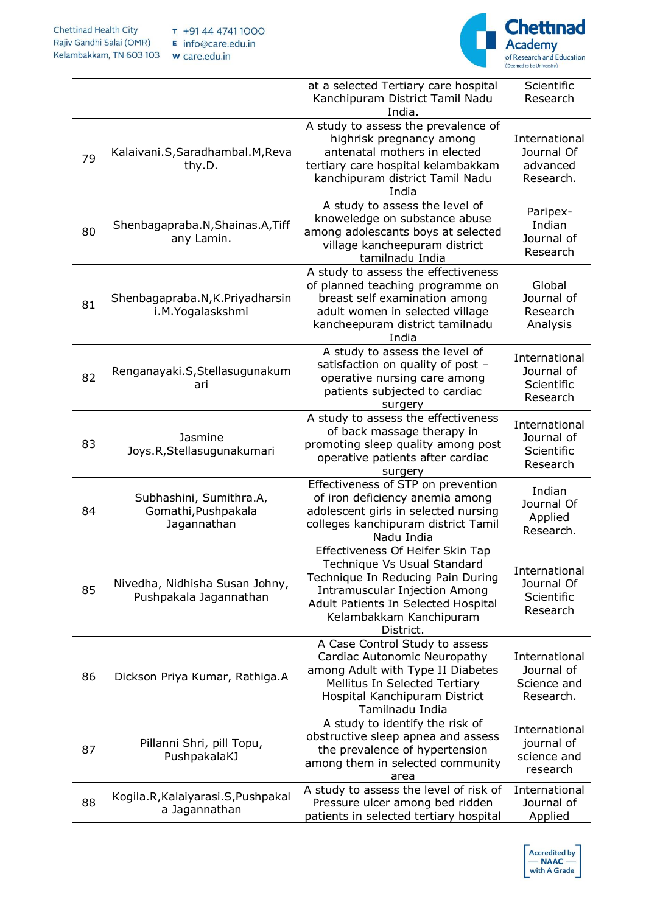

|    |                                                               | at a selected Tertiary care hospital<br>Kanchipuram District Tamil Nadu<br>India.                                                                                                                                           | Scientific<br>Research                                  |
|----|---------------------------------------------------------------|-----------------------------------------------------------------------------------------------------------------------------------------------------------------------------------------------------------------------------|---------------------------------------------------------|
| 79 | Kalaivani.S, Saradhambal.M, Reva<br>thy.D.                    | A study to assess the prevalence of<br>highrisk pregnancy among<br>antenatal mothers in elected<br>tertiary care hospital kelambakkam<br>kanchipuram district Tamil Nadu<br>India                                           | International<br>Journal Of<br>advanced<br>Research.    |
| 80 | Shenbagapraba.N, Shainas.A, Tiff<br>any Lamin.                | A study to assess the level of<br>knoweledge on substance abuse<br>among adolescants boys at selected<br>village kancheepuram district<br>tamilnadu India                                                                   | Paripex-<br>Indian<br>Journal of<br>Research            |
| 81 | Shenbagapraba.N, K. Priyadharsin<br>i.M.Yogalaskshmi          | A study to assess the effectiveness<br>of planned teaching programme on<br>breast self examination among<br>adult women in selected village<br>kancheepuram district tamilnadu<br>India                                     | Global<br>Journal of<br>Research<br>Analysis            |
| 82 | Renganayaki.S, Stellasugunakum<br>ari                         | A study to assess the level of<br>satisfaction on quality of post -<br>operative nursing care among<br>patients subjected to cardiac<br>surgery                                                                             | International<br>Journal of<br>Scientific<br>Research   |
| 83 | Jasmine<br>Joys.R, Stellasugunakumari                         | A study to assess the effectiveness<br>of back massage therapy in<br>promoting sleep quality among post<br>operative patients after cardiac<br>surgery                                                                      | International<br>Journal of<br>Scientific<br>Research   |
| 84 | Subhashini, Sumithra.A,<br>Gomathi, Pushpakala<br>Jagannathan | Effectiveness of STP on prevention<br>of iron deficiency anemia among<br>adolescent girls in selected nursing<br>colleges kanchipuram district Tamil<br>Nadu India                                                          | Indian<br>Journal Of<br>Applied<br>Research.            |
| 85 | Nivedha, Nidhisha Susan Johny,<br>Pushpakala Jagannathan      | Effectiveness Of Heifer Skin Tap<br>Technique Vs Usual Standard<br>Technique In Reducing Pain During<br><b>Intramuscular Injection Among</b><br>Adult Patients In Selected Hospital<br>Kelambakkam Kanchipuram<br>District. | International<br>Journal Of<br>Scientific<br>Research   |
| 86 | Dickson Priya Kumar, Rathiga.A                                | A Case Control Study to assess<br>Cardiac Autonomic Neuropathy<br>among Adult with Type II Diabetes<br>Mellitus In Selected Tertiary<br>Hospital Kanchipuram District<br>Tamilnadu India                                    | International<br>Journal of<br>Science and<br>Research. |
| 87 | Pillanni Shri, pill Topu,<br>PushpakalaKJ                     | A study to identify the risk of<br>obstructive sleep apnea and assess<br>the prevalence of hypertension<br>among them in selected community<br>area                                                                         | International<br>journal of<br>science and<br>research  |
| 88 | Kogila.R, Kalaiyarasi.S, Pushpakal<br>a Jagannathan           | A study to assess the level of risk of<br>Pressure ulcer among bed ridden<br>patients in selected tertiary hospital                                                                                                         | International<br>Journal of<br>Applied                  |

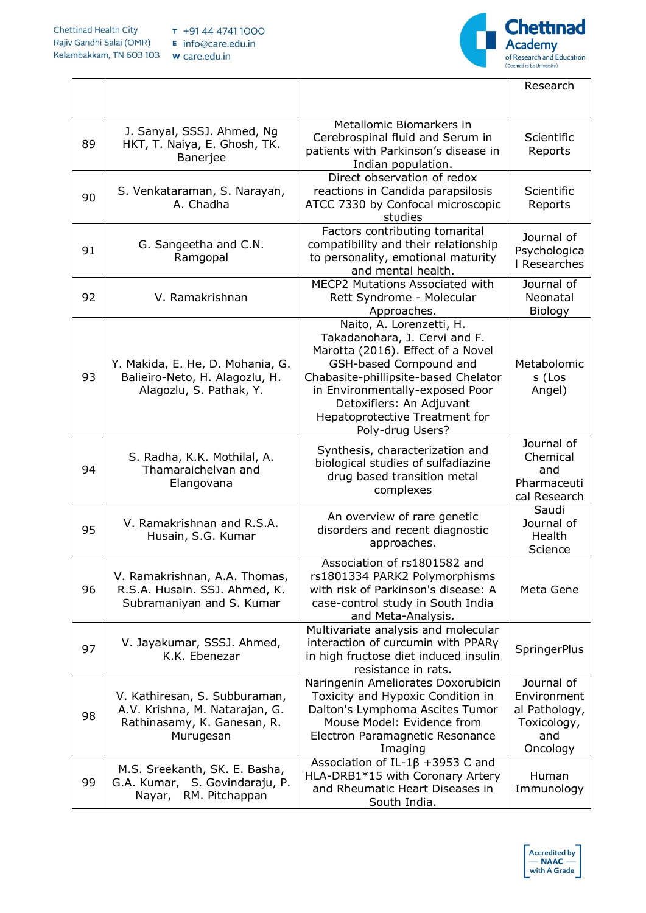

|    |                                                                                                             |                                                                                                                                                                                                                                                                                       | Research                                                                     |
|----|-------------------------------------------------------------------------------------------------------------|---------------------------------------------------------------------------------------------------------------------------------------------------------------------------------------------------------------------------------------------------------------------------------------|------------------------------------------------------------------------------|
|    |                                                                                                             |                                                                                                                                                                                                                                                                                       |                                                                              |
| 89 | J. Sanyal, SSSJ. Ahmed, Ng<br>HKT, T. Naiya, E. Ghosh, TK.<br>Banerjee                                      | Metallomic Biomarkers in<br>Cerebrospinal fluid and Serum in<br>patients with Parkinson's disease in<br>Indian population.                                                                                                                                                            | Scientific<br>Reports                                                        |
| 90 | S. Venkataraman, S. Narayan,<br>A. Chadha                                                                   | Direct observation of redox<br>reactions in Candida parapsilosis<br>ATCC 7330 by Confocal microscopic<br>studies                                                                                                                                                                      | Scientific<br>Reports                                                        |
| 91 | G. Sangeetha and C.N.<br>Ramgopal                                                                           | Factors contributing tomarital<br>compatibility and their relationship<br>to personality, emotional maturity<br>and mental health.                                                                                                                                                    | Journal of<br>Psychologica<br>I Researches                                   |
| 92 | V. Ramakrishnan                                                                                             | MECP2 Mutations Associated with<br>Rett Syndrome - Molecular<br>Approaches.                                                                                                                                                                                                           | Journal of<br>Neonatal<br>Biology                                            |
| 93 | Y. Makida, E. He, D. Mohania, G.<br>Balieiro-Neto, H. Alagozlu, H.<br>Alagozlu, S. Pathak, Y.               | Naito, A. Lorenzetti, H.<br>Takadanohara, J. Cervi and F.<br>Marotta (2016). Effect of a Novel<br>GSH-based Compound and<br>Chabasite-phillipsite-based Chelator<br>in Environmentally-exposed Poor<br>Detoxifiers: An Adjuvant<br>Hepatoprotective Treatment for<br>Poly-drug Users? | Metabolomic<br>s (Los<br>Angel)                                              |
| 94 | S. Radha, K.K. Mothilal, A.<br>Thamaraichelvan and<br>Elangovana                                            | Synthesis, characterization and<br>biological studies of sulfadiazine<br>drug based transition metal<br>complexes                                                                                                                                                                     | Journal of<br>Chemical<br>and<br>Pharmaceuti<br>cal Research                 |
| 95 | V. Ramakrishnan and R.S.A.<br>Husain, S.G. Kumar                                                            | An overview of rare genetic<br>disorders and recent diagnostic<br>approaches.                                                                                                                                                                                                         | Saudi<br>Journal of<br>Health<br>Science                                     |
| 96 | V. Ramakrishnan, A.A. Thomas,<br>R.S.A. Husain. SSJ. Ahmed, K.<br>Subramaniyan and S. Kumar                 | Association of rs1801582 and<br>rs1801334 PARK2 Polymorphisms<br>with risk of Parkinson's disease: A<br>case-control study in South India<br>and Meta-Analysis.                                                                                                                       | Meta Gene                                                                    |
| 97 | V. Jayakumar, SSSJ. Ahmed,<br>K.K. Ebenezar                                                                 | Multivariate analysis and molecular<br>interaction of curcumin with PPARy<br>in high fructose diet induced insulin<br>resistance in rats.                                                                                                                                             | SpringerPlus                                                                 |
| 98 | V. Kathiresan, S. Subburaman,<br>A.V. Krishna, M. Natarajan, G.<br>Rathinasamy, K. Ganesan, R.<br>Murugesan | Naringenin Ameliorates Doxorubicin<br>Toxicity and Hypoxic Condition in<br>Dalton's Lymphoma Ascites Tumor<br>Mouse Model: Evidence from<br>Electron Paramagnetic Resonance<br>Imaging                                                                                                | Journal of<br>Environment<br>al Pathology,<br>Toxicology,<br>and<br>Oncology |
| 99 | M.S. Sreekanth, SK. E. Basha,<br>G.A. Kumar, S. Govindaraju, P.<br>Nayar, RM. Pitchappan                    | Association of IL-1 $\beta$ +3953 C and<br>HLA-DRB1*15 with Coronary Artery<br>and Rheumatic Heart Diseases in<br>South India.                                                                                                                                                        | Human<br>Immunology                                                          |

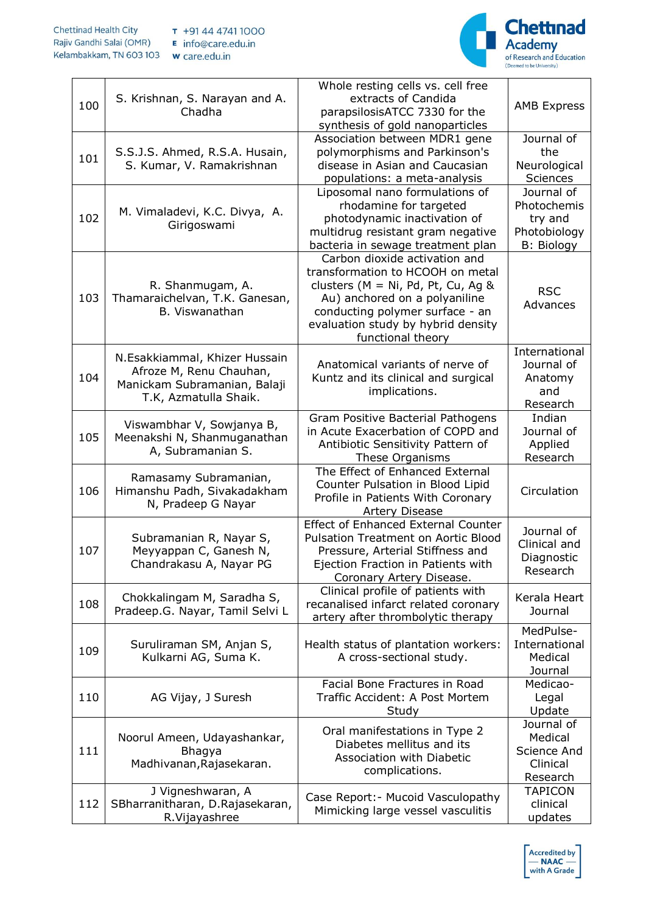

| 100 | S. Krishnan, S. Narayan and A.<br>Chadha                                                                          | Whole resting cells vs. cell free<br>extracts of Candida<br>parapsilosisATCC 7330 for the<br>synthesis of gold nanoparticles                                                                                                               | <b>AMB Express</b>                                                        |
|-----|-------------------------------------------------------------------------------------------------------------------|--------------------------------------------------------------------------------------------------------------------------------------------------------------------------------------------------------------------------------------------|---------------------------------------------------------------------------|
| 101 | S.S.J.S. Ahmed, R.S.A. Husain,<br>S. Kumar, V. Ramakrishnan                                                       | Association between MDR1 gene<br>polymorphisms and Parkinson's<br>disease in Asian and Caucasian<br>populations: a meta-analysis                                                                                                           | Journal of<br>the<br>Neurological<br><b>Sciences</b>                      |
| 102 | M. Vimaladevi, K.C. Divya, A.<br>Girigoswami                                                                      | Liposomal nano formulations of<br>rhodamine for targeted<br>photodynamic inactivation of<br>multidrug resistant gram negative<br>bacteria in sewage treatment plan                                                                         | Journal of<br>Photochemis<br>try and<br>Photobiology<br><b>B: Biology</b> |
| 103 | R. Shanmugam, A.<br>Thamaraichelvan, T.K. Ganesan,<br>B. Viswanathan                                              | Carbon dioxide activation and<br>transformation to HCOOH on metal<br>clusters ( $M = Ni$ , Pd, Pt, Cu, Ag &<br>Au) anchored on a polyaniline<br>conducting polymer surface - an<br>evaluation study by hybrid density<br>functional theory | <b>RSC</b><br>Advances                                                    |
| 104 | N.Esakkiammal, Khizer Hussain<br>Afroze M, Renu Chauhan,<br>Manickam Subramanian, Balaji<br>T.K, Azmatulla Shaik. | Anatomical variants of nerve of<br>Kuntz and its clinical and surgical<br>implications.                                                                                                                                                    | International<br>Journal of<br>Anatomy<br>and<br>Research                 |
| 105 | Viswambhar V, Sowjanya B,<br>Meenakshi N, Shanmuganathan<br>A, Subramanian S.                                     | Gram Positive Bacterial Pathogens<br>in Acute Exacerbation of COPD and<br>Antibiotic Sensitivity Pattern of<br>These Organisms                                                                                                             | Indian<br>Journal of<br>Applied<br>Research                               |
| 106 | Ramasamy Subramanian,<br>Himanshu Padh, Sivakadakham<br>N, Pradeep G Nayar                                        | The Effect of Enhanced External<br>Counter Pulsation in Blood Lipid<br>Profile in Patients With Coronary<br>Artery Disease                                                                                                                 | Circulation                                                               |
| 107 | Subramanian R, Nayar S,<br>Meyyappan C, Ganesh N,<br>Chandrakasu A, Nayar PG                                      | <b>Effect of Enhanced External Counter</b><br><b>Pulsation Treatment on Aortic Blood</b><br>Pressure, Arterial Stiffness and<br>Ejection Fraction in Patients with<br>Coronary Artery Disease.                                             | Journal of<br>Clinical and<br>Diagnostic<br>Research                      |
| 108 | Chokkalingam M, Saradha S,<br>Pradeep.G. Nayar, Tamil Selvi L                                                     | Clinical profile of patients with<br>recanalised infarct related coronary<br>artery after thrombolytic therapy                                                                                                                             | Kerala Heart<br>Journal                                                   |
| 109 | Suruliraman SM, Anjan S,<br>Kulkarni AG, Suma K.                                                                  | Health status of plantation workers:<br>A cross-sectional study.                                                                                                                                                                           | MedPulse-<br>International<br>Medical<br>Journal                          |
| 110 | AG Vijay, J Suresh                                                                                                | Facial Bone Fractures in Road<br>Traffic Accident: A Post Mortem<br>Study                                                                                                                                                                  | Medicao-<br>Legal<br>Update                                               |
| 111 | Noorul Ameen, Udayashankar,<br><b>Bhagya</b><br>Madhivanan, Rajasekaran.                                          | Oral manifestations in Type 2<br>Diabetes mellitus and its<br>Association with Diabetic<br>complications.                                                                                                                                  | Journal of<br>Medical<br>Science And<br>Clinical<br>Research              |
| 112 | J Vigneshwaran, A<br>SBharranitharan, D.Rajasekaran,<br>R.Vijayashree                                             | Case Report: - Mucoid Vasculopathy<br>Mimicking large vessel vasculitis                                                                                                                                                                    | <b>TAPICON</b><br>clinical<br>updates                                     |

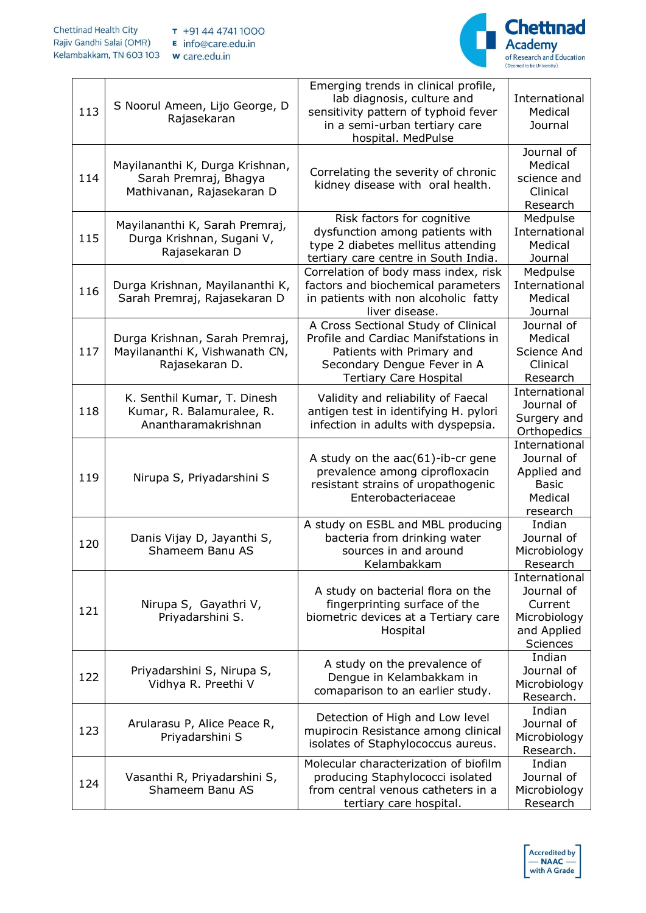

| 113 | S Noorul Ameen, Lijo George, D<br>Rajasekaran                                         | Emerging trends in clinical profile,<br>lab diagnosis, culture and<br>sensitivity pattern of typhoid fever<br>in a semi-urban tertiary care<br>hospital. MedPulse        | International<br>Medical<br>Journal                                               |
|-----|---------------------------------------------------------------------------------------|--------------------------------------------------------------------------------------------------------------------------------------------------------------------------|-----------------------------------------------------------------------------------|
| 114 | Mayilananthi K, Durga Krishnan,<br>Sarah Premraj, Bhagya<br>Mathivanan, Rajasekaran D | Correlating the severity of chronic<br>kidney disease with oral health.                                                                                                  | Journal of<br>Medical<br>science and<br>Clinical<br>Research                      |
| 115 | Mayilananthi K, Sarah Premraj,<br>Durga Krishnan, Sugani V,<br>Rajasekaran D          | Risk factors for cognitive<br>dysfunction among patients with<br>type 2 diabetes mellitus attending<br>tertiary care centre in South India.                              | Medpulse<br>International<br>Medical<br>Journal                                   |
| 116 | Durga Krishnan, Mayilananthi K,<br>Sarah Premraj, Rajasekaran D                       | Correlation of body mass index, risk<br>factors and biochemical parameters<br>in patients with non alcoholic fatty<br>liver disease.                                     | Medpulse<br>International<br>Medical<br>Journal                                   |
| 117 | Durga Krishnan, Sarah Premraj,<br>Mayilananthi K, Vishwanath CN,<br>Rajasekaran D.    | A Cross Sectional Study of Clinical<br>Profile and Cardiac Manifstations in<br>Patients with Primary and<br>Secondary Dengue Fever in A<br><b>Tertiary Care Hospital</b> | Journal of<br>Medical<br>Science And<br>Clinical<br>Research                      |
| 118 | K. Senthil Kumar, T. Dinesh<br>Kumar, R. Balamuralee, R.<br>Anantharamakrishnan       | Validity and reliability of Faecal<br>antigen test in identifying H. pylori<br>infection in adults with dyspepsia.                                                       | International<br>Journal of<br>Surgery and<br>Orthopedics                         |
| 119 | Nirupa S, Priyadarshini S                                                             | A study on the $aac(61)$ -ib-cr gene<br>prevalence among ciprofloxacin<br>resistant strains of uropathogenic<br>Enterobacteriaceae                                       | International<br>Journal of<br>Applied and<br><b>Basic</b><br>Medical<br>research |
| 120 | Danis Vijay D, Jayanthi S,<br>Shameem Banu AS                                         | A study on ESBL and MBL producing<br>bacteria from drinking water<br>sources in and around<br>Kelambakkam                                                                | Indian<br>Journal of<br>Microbiology<br>Research                                  |
| 121 | Nirupa S, Gayathri V,<br>Priyadarshini S.                                             | A study on bacterial flora on the<br>fingerprinting surface of the<br>biometric devices at a Tertiary care<br>Hospital                                                   | International<br>Journal of<br>Current<br>Microbiology<br>and Applied<br>Sciences |
| 122 | Priyadarshini S, Nirupa S,<br>Vidhya R. Preethi V                                     | A study on the prevalence of<br>Dengue in Kelambakkam in<br>comaparison to an earlier study.                                                                             | Indian<br>Journal of<br>Microbiology<br>Research.                                 |
| 123 | Arularasu P, Alice Peace R,<br>Priyadarshini S                                        | Detection of High and Low level<br>mupirocin Resistance among clinical<br>isolates of Staphylococcus aureus.                                                             | Indian<br>Journal of<br>Microbiology<br>Research.                                 |
| 124 | Vasanthi R, Priyadarshini S,<br>Shameem Banu AS                                       | Molecular characterization of biofilm<br>producing Staphylococci isolated<br>from central venous catheters in a<br>tertiary care hospital.                               | Indian<br>Journal of<br>Microbiology<br>Research                                  |

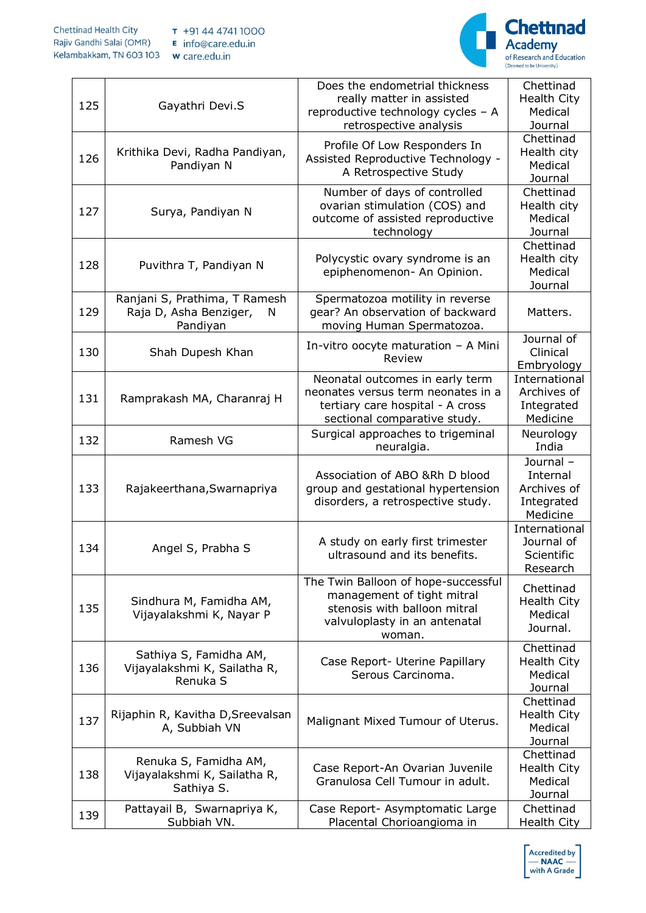

| 125 | Gayathri Devi.S                                                          | Does the endometrial thickness<br>really matter in assisted<br>reproductive technology cycles - A<br>retrospective analysis                  | Chettinad<br><b>Health City</b><br>Medical<br>Journal         |
|-----|--------------------------------------------------------------------------|----------------------------------------------------------------------------------------------------------------------------------------------|---------------------------------------------------------------|
| 126 | Krithika Devi, Radha Pandiyan,<br>Pandiyan N                             | Profile Of Low Responders In<br>Assisted Reproductive Technology -<br>A Retrospective Study                                                  | Chettinad<br>Health city<br>Medical<br>Journal                |
| 127 | Surya, Pandiyan N                                                        | Number of days of controlled<br>ovarian stimulation (COS) and<br>outcome of assisted reproductive<br>technology                              | Chettinad<br>Health city<br>Medical<br>Journal                |
| 128 | Puvithra T, Pandiyan N                                                   | Polycystic ovary syndrome is an<br>epiphenomenon- An Opinion.                                                                                | Chettinad<br>Health city<br>Medical<br>Journal                |
| 129 | Ranjani S, Prathima, T Ramesh<br>Raja D, Asha Benziger,<br>N<br>Pandiyan | Spermatozoa motility in reverse<br>gear? An observation of backward<br>moving Human Spermatozoa.                                             | Matters.                                                      |
| 130 | Shah Dupesh Khan                                                         | In-vitro oocyte maturation - A Mini<br>Review                                                                                                | Journal of<br>Clinical<br>Embryology                          |
| 131 | Ramprakash MA, Charanraj H                                               | Neonatal outcomes in early term<br>neonates versus term neonates in a<br>tertiary care hospital - A cross<br>sectional comparative study.    | International<br>Archives of<br>Integrated<br>Medicine        |
| 132 | Ramesh VG                                                                | Surgical approaches to trigeminal<br>neuralgia.                                                                                              | Neurology<br>India                                            |
| 133 | Rajakeerthana, Swarnapriya                                               | Association of ABO &Rh D blood<br>group and gestational hypertension<br>disorders, a retrospective study.                                    | Journal-<br>Internal<br>Archives of<br>Integrated<br>Medicine |
| 134 | Angel S, Prabha S                                                        | A study on early first trimester<br>ultrasound and its benefits.                                                                             | International<br>Journal of<br>Scientific<br>Research         |
| 135 | Sindhura M, Famidha AM,<br>Vijayalakshmi K, Nayar P                      | The Twin Balloon of hope-successful<br>management of tight mitral<br>stenosis with balloon mitral<br>valvuloplasty in an antenatal<br>woman. | Chettinad<br><b>Health City</b><br>Medical<br>Journal.        |
| 136 | Sathiya S, Famidha AM,<br>Vijayalakshmi K, Sailatha R,<br>Renuka S       | Case Report- Uterine Papillary<br>Serous Carcinoma.                                                                                          | Chettinad<br>Health City<br>Medical<br>Journal                |
| 137 | Rijaphin R, Kavitha D, Sreevalsan<br>A, Subbiah VN                       | Malignant Mixed Tumour of Uterus.                                                                                                            | Chettinad<br><b>Health City</b><br>Medical<br>Journal         |
| 138 | Renuka S, Famidha AM,<br>Vijayalakshmi K, Sailatha R,<br>Sathiya S.      | Case Report-An Ovarian Juvenile<br>Granulosa Cell Tumour in adult.                                                                           | Chettinad<br><b>Health City</b><br>Medical<br>Journal         |
| 139 | Pattayail B, Swarnapriya K,<br>Subbiah VN.                               | Case Report- Asymptomatic Large<br>Placental Chorioangioma in                                                                                | Chettinad<br>Health City                                      |

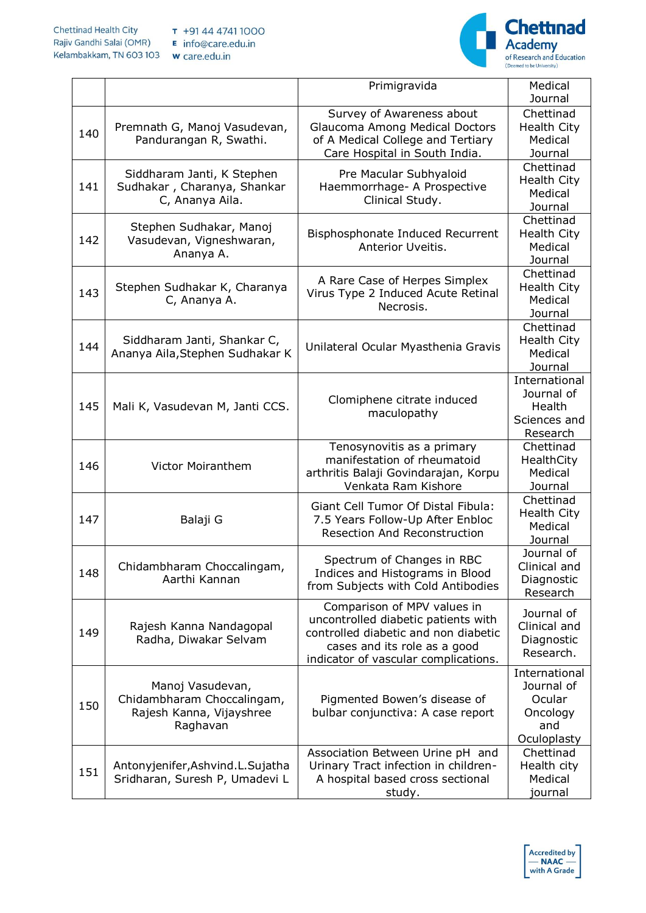

|     |                                                                                        | Primigravida                                                                                                  | Medical                       |
|-----|----------------------------------------------------------------------------------------|---------------------------------------------------------------------------------------------------------------|-------------------------------|
|     |                                                                                        |                                                                                                               | Journal                       |
| 140 |                                                                                        | Survey of Awareness about                                                                                     | Chettinad                     |
|     | Premnath G, Manoj Vasudevan,                                                           | Glaucoma Among Medical Doctors                                                                                | <b>Health City</b>            |
|     | Pandurangan R, Swathi.                                                                 | of A Medical College and Tertiary                                                                             | Medical                       |
|     |                                                                                        | Care Hospital in South India.                                                                                 | Journal                       |
|     | Siddharam Janti, K Stephen                                                             | Pre Macular Subhyaloid                                                                                        | Chettinad                     |
| 141 | Sudhakar, Charanya, Shankar                                                            | Haemmorrhage- A Prospective                                                                                   | <b>Health City</b>            |
|     | C, Ananya Aila.                                                                        | Clinical Study.                                                                                               | Medical                       |
|     |                                                                                        |                                                                                                               | Journal                       |
|     | Stephen Sudhakar, Manoj                                                                |                                                                                                               | Chettinad                     |
| 142 | Vasudevan, Vigneshwaran,                                                               | Bisphosphonate Induced Recurrent                                                                              | <b>Health City</b>            |
|     | Ananya A.                                                                              | Anterior Uveitis.                                                                                             | Medical                       |
|     |                                                                                        |                                                                                                               | Journal                       |
| 143 | Stephen Sudhakar K, Charanya<br>C, Ananya A.                                           | A Rare Case of Herpes Simplex<br>Virus Type 2 Induced Acute Retinal<br>Necrosis.                              | Chettinad                     |
|     |                                                                                        |                                                                                                               | <b>Health City</b><br>Medical |
|     |                                                                                        |                                                                                                               | Journal                       |
|     |                                                                                        |                                                                                                               | Chettinad                     |
|     | Siddharam Janti, Shankar C,                                                            |                                                                                                               | <b>Health City</b>            |
| 144 | Ananya Aila, Stephen Sudhakar K                                                        | Unilateral Ocular Myasthenia Gravis                                                                           | Medical                       |
|     |                                                                                        |                                                                                                               | Journal                       |
|     |                                                                                        |                                                                                                               | International                 |
|     |                                                                                        |                                                                                                               | Journal of                    |
| 145 | Mali K, Vasudevan M, Janti CCS.                                                        | Clomiphene citrate induced<br>maculopathy                                                                     | Health                        |
|     |                                                                                        |                                                                                                               | Sciences and                  |
|     |                                                                                        |                                                                                                               | Research                      |
|     |                                                                                        | Tenosynovitis as a primary                                                                                    | Chettinad                     |
| 146 | <b>Victor Moiranthem</b>                                                               | manifestation of rheumatoid                                                                                   | HealthCity                    |
|     |                                                                                        | arthritis Balaji Govindarajan, Korpu                                                                          | Medical                       |
|     |                                                                                        | Venkata Ram Kishore                                                                                           | Journal                       |
|     | Balaji G                                                                               | Giant Cell Tumor Of Distal Fibula:<br>7.5 Years Follow-Up After Enbloc<br><b>Resection And Reconstruction</b> | Chettinad                     |
| 147 |                                                                                        |                                                                                                               | <b>Health City</b>            |
|     |                                                                                        |                                                                                                               | Medical                       |
|     |                                                                                        |                                                                                                               | Journal                       |
|     | Chidambharam Choccalingam,                                                             | Spectrum of Changes in RBC                                                                                    | Journal of<br>Clinical and    |
| 148 | Aarthi Kannan                                                                          | Indices and Histograms in Blood                                                                               | Diagnostic                    |
|     |                                                                                        | from Subjects with Cold Antibodies                                                                            | Research                      |
|     |                                                                                        | Comparison of MPV values in                                                                                   |                               |
|     | Rajesh Kanna Nandagopal                                                                | uncontrolled diabetic patients with                                                                           | Journal of                    |
| 149 |                                                                                        | controlled diabetic and non diabetic                                                                          | Clinical and                  |
|     | Radha, Diwakar Selvam                                                                  | cases and its role as a good                                                                                  | Diagnostic                    |
|     |                                                                                        | indicator of vascular complications.                                                                          | Research.                     |
|     | Manoj Vasudevan,<br>Chidambharam Choccalingam,<br>Rajesh Kanna, Vijayshree<br>Raghavan | Pigmented Bowen's disease of<br>bulbar conjunctiva: A case report                                             | International                 |
|     |                                                                                        |                                                                                                               | Journal of                    |
| 150 |                                                                                        |                                                                                                               | Ocular                        |
|     |                                                                                        |                                                                                                               | Oncology                      |
|     |                                                                                        |                                                                                                               | and                           |
|     |                                                                                        |                                                                                                               | Oculoplasty                   |
| 151 | Antonyjenifer, Ashvind. L. Sujatha<br>Sridharan, Suresh P, Umadevi L                   | Association Between Urine pH and                                                                              | Chettinad                     |
|     |                                                                                        | Urinary Tract infection in children-                                                                          | Health city                   |
|     |                                                                                        | A hospital based cross sectional                                                                              | Medical                       |
|     |                                                                                        | study.                                                                                                        | journal                       |

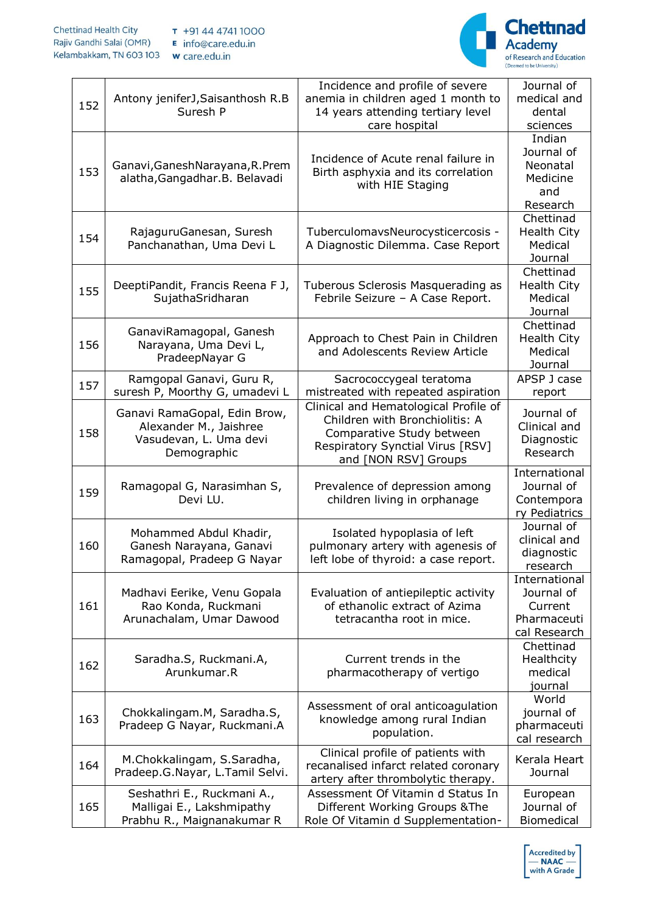

| 152 | Antony jeniferJ, Saisanthosh R.B<br>Suresh P                                                    | Incidence and profile of severe<br>anemia in children aged 1 month to<br>14 years attending tertiary level<br>care hospital                                      | Journal of<br>medical and<br>dental<br>sciences                       |
|-----|-------------------------------------------------------------------------------------------------|------------------------------------------------------------------------------------------------------------------------------------------------------------------|-----------------------------------------------------------------------|
| 153 | Ganavi, Ganesh Narayana, R. Prem<br>alatha, Gangadhar. B. Belavadi                              | Incidence of Acute renal failure in<br>Birth asphyxia and its correlation<br>with HIE Staging                                                                    | Indian<br>Journal of<br>Neonatal<br>Medicine<br>and<br>Research       |
| 154 | RajaguruGanesan, Suresh<br>Panchanathan, Uma Devi L                                             | TuberculomavsNeurocysticercosis -<br>A Diagnostic Dilemma. Case Report                                                                                           | Chettinad<br><b>Health City</b><br>Medical<br>Journal                 |
| 155 | DeeptiPandit, Francis Reena F J,<br>SujathaSridharan                                            | Tuberous Sclerosis Masquerading as<br>Febrile Seizure - A Case Report.                                                                                           | Chettinad<br><b>Health City</b><br>Medical<br>Journal                 |
| 156 | GanaviRamagopal, Ganesh<br>Narayana, Uma Devi L,<br>PradeepNayar G                              | Approach to Chest Pain in Children<br>and Adolescents Review Article                                                                                             | Chettinad<br><b>Health City</b><br>Medical<br>Journal                 |
| 157 | Ramgopal Ganavi, Guru R,<br>suresh P, Moorthy G, umadevi L                                      | Sacrococcygeal teratoma<br>mistreated with repeated aspiration                                                                                                   | APSP J case<br>report                                                 |
| 158 | Ganavi RamaGopal, Edin Brow,<br>Alexander M., Jaishree<br>Vasudevan, L. Uma devi<br>Demographic | Clinical and Hematological Profile of<br>Children with Bronchiolitis: A<br>Comparative Study between<br>Respiratory Synctial Virus [RSV]<br>and [NON RSV] Groups | Journal of<br>Clinical and<br>Diagnostic<br>Research                  |
| 159 | Ramagopal G, Narasimhan S,<br>Devi LU.                                                          | Prevalence of depression among<br>children living in orphanage                                                                                                   | International<br>Journal of<br>Contempora<br>ry Pediatrics            |
| 160 | Mohammed Abdul Khadir,<br>Ganesh Narayana, Ganavi<br>Ramagopal, Pradeep G Nayar                 | Isolated hypoplasia of left<br>pulmonary artery with agenesis of<br>left lobe of thyroid: a case report.                                                         | Journal of<br>clinical and<br>diagnostic<br>research                  |
| 161 | Madhavi Eerike, Venu Gopala<br>Rao Konda, Ruckmani<br>Arunachalam, Umar Dawood                  | Evaluation of antiepileptic activity<br>of ethanolic extract of Azima<br>tetracantha root in mice.                                                               | International<br>Journal of<br>Current<br>Pharmaceuti<br>cal Research |
| 162 | Saradha.S, Ruckmani.A,<br>Arunkumar.R                                                           | Current trends in the<br>pharmacotherapy of vertigo                                                                                                              | Chettinad<br>Healthcity<br>medical<br>journal                         |
| 163 | Chokkalingam.M, Saradha.S,<br>Pradeep G Nayar, Ruckmani.A                                       | Assessment of oral anticoagulation<br>knowledge among rural Indian<br>population.                                                                                | World<br>journal of<br>pharmaceuti<br>cal research                    |
| 164 | M.Chokkalingam, S.Saradha,<br>Pradeep.G.Nayar, L.Tamil Selvi.                                   | Clinical profile of patients with<br>recanalised infarct related coronary<br>artery after thrombolytic therapy.                                                  | Kerala Heart<br>Journal                                               |
| 165 | Seshathri E., Ruckmani A.,<br>Malligai E., Lakshmipathy<br>Prabhu R., Maignanakumar R           | Assessment Of Vitamin d Status In<br>Different Working Groups & The<br>Role Of Vitamin d Supplementation-                                                        | European<br>Journal of<br><b>Biomedical</b>                           |

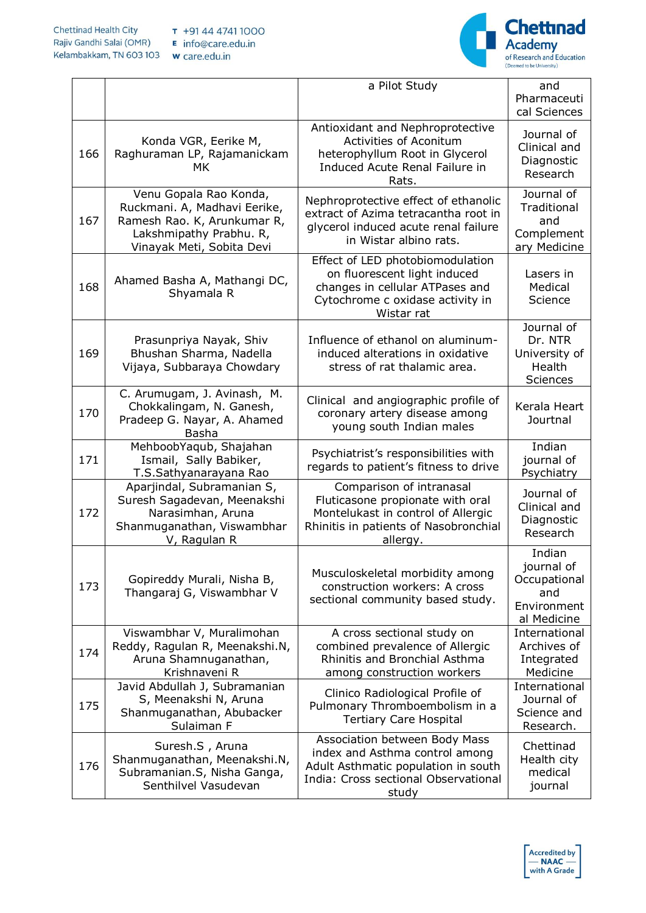

|     |                                                                                                                                               | a Pilot Study                                                                                                                                           | and<br>Pharmaceuti<br>cal Sciences                                        |
|-----|-----------------------------------------------------------------------------------------------------------------------------------------------|---------------------------------------------------------------------------------------------------------------------------------------------------------|---------------------------------------------------------------------------|
| 166 | Konda VGR, Eerike M,<br>Raghuraman LP, Rajamanickam<br>МK                                                                                     | Antioxidant and Nephroprotective<br>Activities of Aconitum<br>heterophyllum Root in Glycerol<br>Induced Acute Renal Failure in<br>Rats.                 | Journal of<br>Clinical and<br>Diagnostic<br>Research                      |
| 167 | Venu Gopala Rao Konda,<br>Ruckmani. A, Madhavi Eerike,<br>Ramesh Rao. K, Arunkumar R,<br>Lakshmipathy Prabhu. R,<br>Vinayak Meti, Sobita Devi | Nephroprotective effect of ethanolic<br>extract of Azima tetracantha root in<br>glycerol induced acute renal failure<br>in Wistar albino rats.          | Journal of<br>Traditional<br>and<br>Complement<br>ary Medicine            |
| 168 | Ahamed Basha A, Mathangi DC,<br>Shyamala R                                                                                                    | Effect of LED photobiomodulation<br>on fluorescent light induced<br>changes in cellular ATPases and<br>Cytochrome c oxidase activity in<br>Wistar rat   | Lasers in<br>Medical<br>Science                                           |
| 169 | Prasunpriya Nayak, Shiv<br>Bhushan Sharma, Nadella<br>Vijaya, Subbaraya Chowdary                                                              | Influence of ethanol on aluminum-<br>induced alterations in oxidative<br>stress of rat thalamic area.                                                   | Journal of<br>Dr. NTR<br>University of<br>Health<br><b>Sciences</b>       |
| 170 | C. Arumugam, J. Avinash, M.<br>Chokkalingam, N. Ganesh,<br>Pradeep G. Nayar, A. Ahamed<br>Basha                                               | Clinical and angiographic profile of<br>coronary artery disease among<br>young south Indian males                                                       | Kerala Heart<br>Jourtnal                                                  |
| 171 | MehboobYaqub, Shajahan<br>Ismail, Sally Babiker,<br>T.S.Sathyanarayana Rao                                                                    | Psychiatrist's responsibilities with<br>regards to patient's fitness to drive                                                                           | Indian<br>journal of<br>Psychiatry                                        |
| 172 | Aparjindal, Subramanian S,<br>Suresh Sagadevan, Meenakshi<br>Narasimhan, Aruna<br>Shanmuganathan, Viswambhar<br>V, Ragulan R                  | Comparison of intranasal<br>Fluticasone propionate with oral<br>Montelukast in control of Allergic<br>Rhinitis in patients of Nasobronchial<br>allergy. | Journal of<br>Clinical and<br>Diagnostic<br>Research                      |
| 173 | Gopireddy Murali, Nisha B,<br>Thangaraj G, Viswambhar V                                                                                       | Musculoskeletal morbidity among<br>construction workers: A cross<br>sectional community based study.                                                    | Indian<br>journal of<br>Occupational<br>and<br>Environment<br>al Medicine |
| 174 | Viswambhar V, Muralimohan<br>Reddy, Ragulan R, Meenakshi.N,<br>Aruna Shamnuganathan,<br>Krishnaveni R                                         | A cross sectional study on<br>combined prevalence of Allergic<br>Rhinitis and Bronchial Asthma<br>among construction workers                            | International<br>Archives of<br>Integrated<br>Medicine                    |
| 175 | Javid Abdullah J, Subramanian<br>S, Meenakshi N, Aruna<br>Shanmuganathan, Abubacker<br>Sulaiman F                                             | Clinico Radiological Profile of<br>Pulmonary Thromboembolism in a<br><b>Tertiary Care Hospital</b>                                                      | International<br>Journal of<br>Science and<br>Research.                   |
| 176 | Suresh.S, Aruna<br>Shanmuganathan, Meenakshi.N,<br>Subramanian.S, Nisha Ganga,<br>Senthilvel Vasudevan                                        | Association between Body Mass<br>index and Asthma control among<br>Adult Asthmatic population in south<br>India: Cross sectional Observational<br>study | Chettinad<br>Health city<br>medical<br>journal                            |